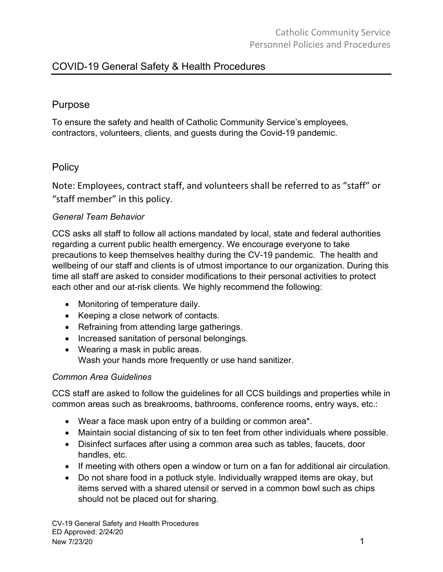# COVID-19 General Safety & Health Procedures

## Purpose

To ensure the safety and health of Catholic Community Service's employees, contractors, volunteers, clients, and guests during the Covid-19 pandemic.

# **Policy**

Note: Employees, contract staff, and volunteers shall be referred to as "staff" or "staff member" in this policy.

#### *General Team Behavior*

CCS asks all staff to follow all actions mandated by local, state and federal authorities regarding a current public health emergency. We encourage everyone to take precautions to keep themselves healthy during the CV-19 pandemic. The health and wellbeing of our staff and clients is of utmost importance to our organization. During this time all staff are asked to consider modifications to their personal activities to protect each other and our at-risk clients. We highly recommend the following:

- Monitoring of temperature daily.
- Keeping a close network of contacts.
- Refraining from attending large gatherings.
- Increased sanitation of personal belongings.
- Wearing a mask in public areas. Wash your hands more frequently or use hand sanitizer.

#### *Common Area Guidelines*

CCS staff are asked to follow the guidelines for all CCS buildings and properties while in common areas such as breakrooms, bathrooms, conference rooms, entry ways, etc.:

- Wear a face mask upon entry of a building or common area\*.
- Maintain social distancing of six to ten feet from other individuals where possible.
- Disinfect surfaces after using a common area such as tables, faucets, door handles, etc.
- If meeting with others open a window or turn on a fan for additional air circulation.
- Do not share food in a potluck style. Individually wrapped items are okay, but items served with a shared utensil or served in a common bowl such as chips should not be placed out for sharing.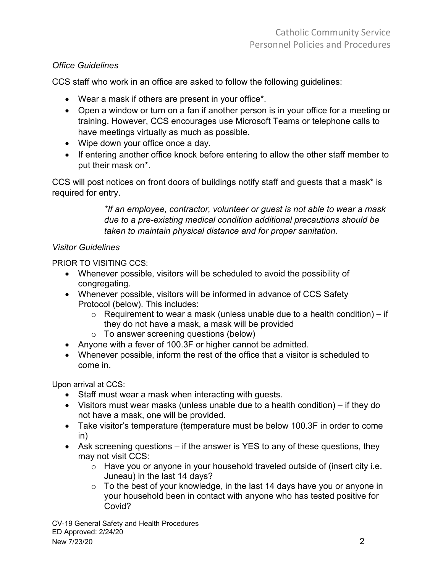### *Office Guidelines*

CCS staff who work in an office are asked to follow the following guidelines:

- Wear a mask if others are present in your office\*.
- Open a window or turn on a fan if another person is in your office for a meeting or training. However, CCS encourages use Microsoft Teams or telephone calls to have meetings virtually as much as possible.
- Wipe down your office once a day.
- If entering another office knock before entering to allow the other staff member to put their mask on\*.

CCS will post notices on front doors of buildings notify staff and guests that a mask\* is required for entry.

> *\*If an employee, contractor, volunteer or guest is not able to wear a mask due to a pre-existing medical condition additional precautions should be taken to maintain physical distance and for proper sanitation.*

### *Visitor Guidelines*

PRIOR TO VISITING CCS:

- Whenever possible, visitors will be scheduled to avoid the possibility of congregating.
- Whenever possible, visitors will be informed in advance of CCS Safety Protocol (below). This includes:
	- $\circ$  Requirement to wear a mask (unless unable due to a health condition) if they do not have a mask, a mask will be provided
	- o To answer screening questions (below)
- Anyone with a fever of 100.3F or higher cannot be admitted.
- Whenever possible, inform the rest of the office that a visitor is scheduled to come in.

Upon arrival at CCS:

- Staff must wear a mask when interacting with guests.
- Visitors must wear masks (unless unable due to a health condition) if they do not have a mask, one will be provided.
- Take visitor's temperature (temperature must be below 100.3F in order to come in)
- Ask screening questions if the answer is YES to any of these questions, they may not visit CCS:
	- o Have you or anyone in your household traveled outside of (insert city i.e. Juneau) in the last 14 days?
	- $\circ$  To the best of your knowledge, in the last 14 days have you or anyone in your household been in contact with anyone who has tested positive for Covid?